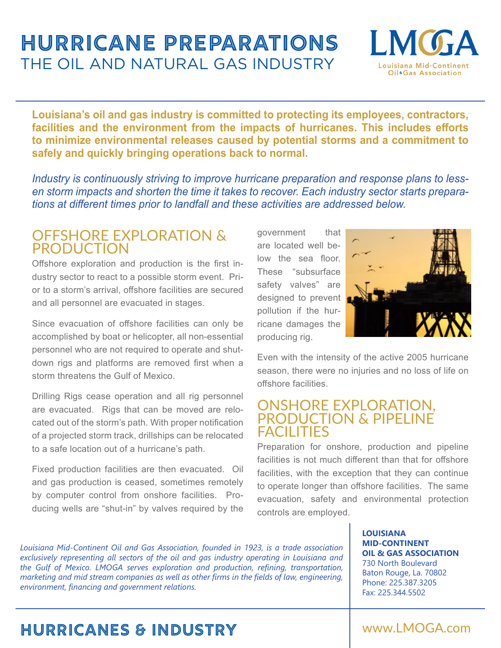# **Hurricane Preparations**  THE OIL AND NATURAL GAS INDUSTRY



**Louisiana's oil and gas industry is committed to protecting its employees, contractors, facilities and the environment from the impacts of hurricanes. This includes efforts to minimize environmental releases caused by potential storms and a commitment to safely and quickly bringing operations back to normal.** 

*Industry is continuously striving to improve hurricane preparation and response plans to lessen storm impacts and shorten the time it takes to recover. Each industry sector starts preparations at different times prior to landfall and these activities are addressed below.*

### OFFSHORE EXPLORATION & PRODUCTION

Offshore exploration and production is the first industry sector to react to a possible storm event. Prior to a storm's arrival, offshore facilities are secured and all personnel are evacuated in stages.

Since evacuation of offshore facilities can only be accomplished by boat or helicopter, all non-essential personnel who are not required to operate and shutdown rigs and platforms are removed first when a storm threatens the Gulf of Mexico.

Drilling Rigs cease operation and all rig personnel are evacuated. Rigs that can be moved are relocated out of the storm's path. With proper notification of a projected storm track, drillships can be relocated to a safe location out of a hurricane's path.

Fixed production facilities are then evacuated. Oil and gas production is ceased, sometimes remotely by computer control from onshore facilities. Producing wells are "shut-in" by valves required by the government that are located well below the sea floor. These "subsurface safety valves" are designed to prevent pollution if the hurricane damages the producing rig.



Even with the intensity of the active 2005 hurricane season, there were no injuries and no loss of life on offshore facilities.

### ONSHORE EXPLORATION, PRODUCTION & PIPELINE FACILITIES

Preparation for onshore, production and pipeline facilities is not much different than that for offshore facilities, with the exception that they can continue to operate longer than offshore facilities. The same evacuation, safety and environmental protection controls are employed.

*Louisiana Mid-Continent Oil and Gas Association, founded in 1923, is a trade association exclusively representing all sectors of the oil and gas industry operating in Louisiana and the Gulf of Mexico. LMOGA serves exploration and production, refining, transportation, marketing and mid stream companies as well as other firms in the fields of law, engineering, environment, financing and government relations.*

**LOUISIANA MID-CONTINENT OIL & GAS ASSOCIATION** 730 North Boulevard Baton Rouge, La. 70802 Phone: 225.387.3205 Fax: 225.344.5502

## **hurricanes & industry** www.LMOGA.com